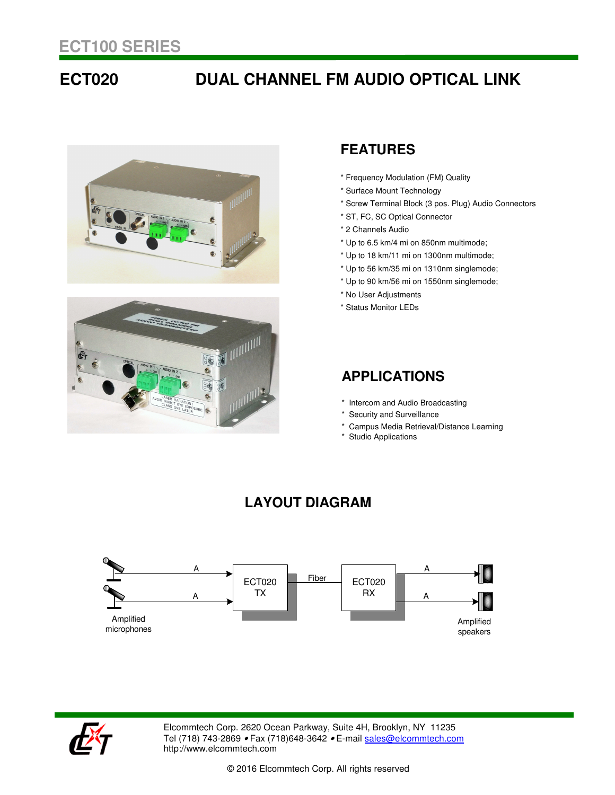## **ECT020 DUAL CHANNEL FM AUDIO OPTICAL LINK**





### **FEATURES**

- \* Frequency Modulation (FM) Quality
- \* Surface Mount Technology
- \* Screw Terminal Block (3 pos. Plug) Audio Connectors
- \* ST, FC, SC Optical Connector
- \* 2 Channels Audio
- \* Up to 6.5 km/4 mi on 850nm multimode;
- \* Up to 18 km/11 mi on 1300nm multimode;
- \* Up to 56 km/35 mi on 1310nm singlemode;
- \* Up to 90 km/56 mi on 1550nm singlemode;
- \* No User Adjustments
- \* Status Monitor LEDs

### **APPLICATIONS**

- \* Intercom and Audio Broadcasting
- \* Security and Surveillance
- \* Campus Media Retrieval/Distance Learning
- \* Studio Applications

### **LAYOUT DIAGRAM**





Elcommtech Corp. 2620 Ocean Parkway, Suite 4H, Brooklyn, NY 11235 Tel (718) 743-2869 • Fax (718) 648-3642 • E-mail sales@elcommtech.com http://www.elcommtech.com

© 2016 Elcommtech Corp. All rights reserved